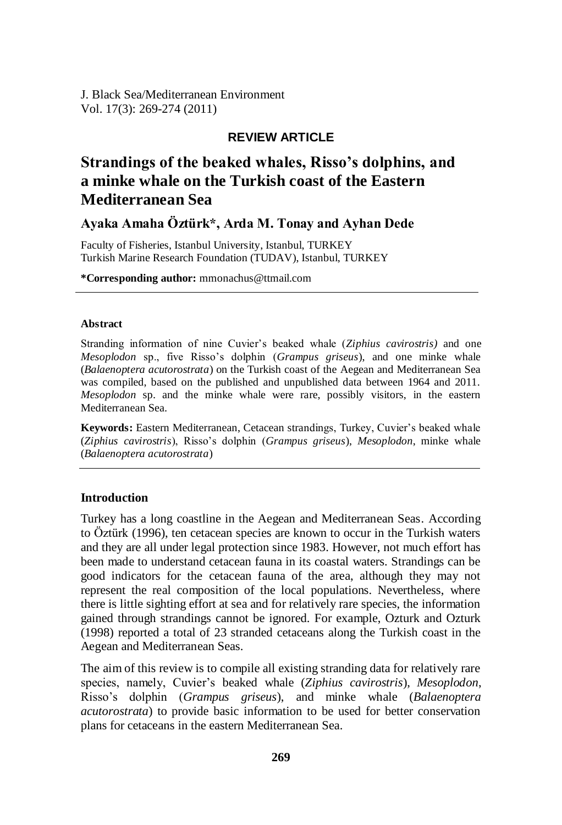J. Black Sea/Mediterranean Environment Vol. 17(3): 269-274 (2011)

# **REVIEW ARTICLE**

# **Strandings of the beaked whales, Risso's dolphins, and a minke whale on the Turkish coast of the Eastern Mediterranean Sea**

# **Ayaka Amaha Öztürk\*, Arda M. Tonay and Ayhan Dede**

Faculty of Fisheries, Istanbul University, Istanbul, TURKEY Turkish Marine Research Foundation (TUDAV), Istanbul, TURKEY

**\*Corresponding author:** mmonachus@ttmail.com

#### **Abstract**

Stranding information of nine Cuvier"s beaked whale (*Ziphius cavirostris)* and one *Mesoplodon* sp., five Risso"s dolphin (*Grampus griseus*), and one minke whale (*Balaenoptera acutorostrata*) on the Turkish coast of the Aegean and Mediterranean Sea was compiled, based on the published and unpublished data between 1964 and 2011. *Mesoplodon* sp. and the minke whale were rare, possibly visitors, in the eastern Mediterranean Sea.

**Keywords:** Eastern Mediterranean, Cetacean strandings, Turkey, Cuvier"s beaked whale (*Ziphius cavirostris*), Risso"s dolphin (*Grampus griseus*), *Mesoplodon*, minke whale (*Balaenoptera acutorostrata*)

#### **Introduction**

Turkey has a long coastline in the Aegean and Mediterranean Seas. According to Öztürk (1996), ten cetacean species are known to occur in the Turkish waters and they are all under legal protection since 1983. However, not much effort has been made to understand cetacean fauna in its coastal waters. Strandings can be good indicators for the cetacean fauna of the area, although they may not represent the real composition of the local populations. Nevertheless, where there is little sighting effort at sea and for relatively rare species, the information gained through strandings cannot be ignored. For example, Ozturk and Ozturk (1998) reported a total of 23 stranded cetaceans along the Turkish coast in the Aegean and Mediterranean Seas.

The aim of this review is to compile all existing stranding data for relatively rare species, namely, Cuvier"s beaked whale (*Ziphius cavirostris*), *Mesoplodon*, Risso"s dolphin (*Grampus griseus*), and minke whale (*Balaenoptera acutorostrata*) to provide basic information to be used for better conservation plans for cetaceans in the eastern Mediterranean Sea.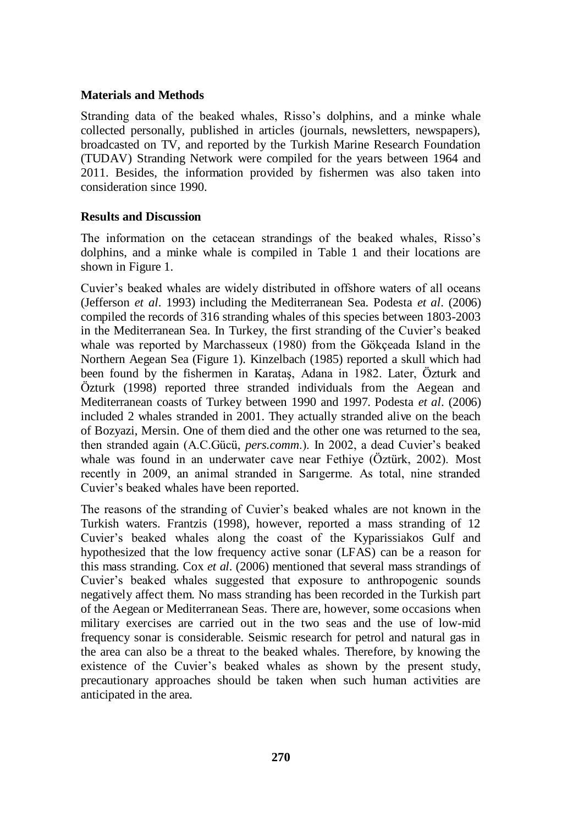### **Materials and Methods**

Stranding data of the beaked whales, Risso's dolphins, and a minke whale collected personally, published in articles (journals, newsletters, newspapers), broadcasted on TV, and reported by the Turkish Marine Research Foundation (TUDAV) Stranding Network were compiled for the years between 1964 and 2011. Besides, the information provided by fishermen was also taken into consideration since 1990.

## **Results and Discussion**

The information on the cetacean strandings of the beaked whales, Risso"s dolphins, and a minke whale is compiled in Table 1 and their locations are shown in Figure 1.

Cuvier"s beaked whales are widely distributed in offshore waters of all oceans (Jefferson *et al*. 1993) including the Mediterranean Sea. Podesta *et al*. (2006) compiled the records of 316 stranding whales of this species between 1803-2003 in the Mediterranean Sea. In Turkey, the first stranding of the Cuvier"s beaked whale was reported by Marchasseux (1980) from the Gökçeada Island in the Northern Aegean Sea (Figure 1). Kinzelbach (1985) reported a skull which had been found by the fishermen in Karataş, Adana in 1982. Later, Özturk and Özturk (1998) reported three stranded individuals from the Aegean and Mediterranean coasts of Turkey between 1990 and 1997. Podesta *et al*. (2006) included 2 whales stranded in 2001. They actually stranded alive on the beach of Bozyazi, Mersin. One of them died and the other one was returned to the sea, then stranded again (A.C.Gücü, *pers.comm*.). In 2002, a dead Cuvier"s beaked whale was found in an underwater cave near Fethiye (Öztürk, 2002). Most recently in 2009, an animal stranded in Sarıgerme. As total, nine stranded Cuvier"s beaked whales have been reported.

The reasons of the stranding of Cuvier's beaked whales are not known in the Turkish waters. Frantzis (1998), however, reported a mass stranding of 12 Cuvier"s beaked whales along the coast of the Kyparissiakos Gulf and hypothesized that the low frequency active sonar (LFAS) can be a reason for this mass stranding. Cox *et al*. (2006) mentioned that several mass strandings of Cuvier"s beaked whales suggested that exposure to anthropogenic sounds negatively affect them. No mass stranding has been recorded in the Turkish part of the Aegean or Mediterranean Seas. There are, however, some occasions when military exercises are carried out in the two seas and the use of low-mid frequency sonar is considerable. Seismic research for petrol and natural gas in the area can also be a threat to the beaked whales. Therefore, by knowing the existence of the Cuvier"s beaked whales as shown by the present study, precautionary approaches should be taken when such human activities are anticipated in the area.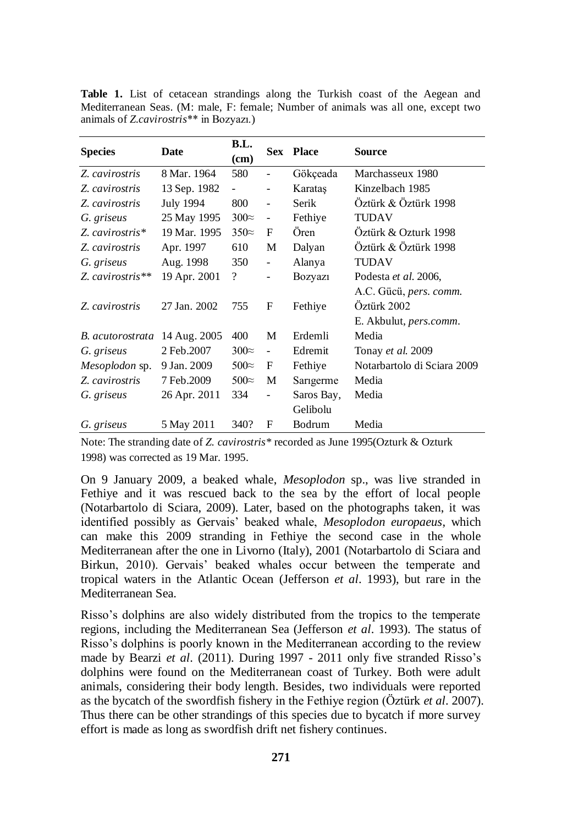**Table 1.** List of cetacean strandings along the Turkish coast of the Aegean and Mediterranean Seas. (M: male, F: female; Number of animals was all one, except two animals of *Z.cavirostris*\*\* in Bozyazı.)

| <b>Species</b>        | Date         | B.L.               |                              | <b>Sex Place</b> | Source                         |
|-----------------------|--------------|--------------------|------------------------------|------------------|--------------------------------|
|                       |              | (cm)               |                              |                  |                                |
| Z. cavirostris        | 8 Mar. 1964  | 580                |                              | Gökçeada         | Marchasseux 1980               |
| Z. cavirostris        | 13 Sep. 1982 | $\overline{a}$     | $\overline{\phantom{a}}$     | Karatas          | Kinzelbach 1985                |
| Z. cavirostris        | July 1994    | 800                | $\overline{\phantom{a}}$     | Serik            | Öztürk & Öztürk 1998           |
| G. griseus            | 25 May 1995  | $300 \approx$      | $\qquad \qquad \blacksquare$ | Fethive          | TUDAV                          |
| Z. cavirostris*       | 19 Mar. 1995 | $350\approx$       | F                            | <b>Oren</b>      | Öztürk & Ozturk 1998           |
| Z. cavirostris        | Apr. 1997    | 610                | M                            | Dalyan           | Öztürk & Öztürk 1998           |
| G. griseus            | Aug. 1998    | 350                | $\frac{1}{2}$                | Alanya           | <b>TUDAV</b>                   |
| Z. cavirostris $**$   | 19 Apr. 2001 | $\overline{\cdot}$ | $\overline{\phantom{a}}$     | <b>Bozyazi</b>   | Podesta et al. 2006,           |
|                       |              |                    |                              |                  | A.C. Gücü, pers. comm.         |
| Z. cavirostris        | 27 Jan. 2002 | 755                | F                            | Fethiye          | Öztürk 2002                    |
|                       |              |                    |                              |                  | E. Akbulut, <i>pers.comm</i> . |
| B. acutorostrata      | 14 Aug. 2005 | 400                | М                            | Erdemli          | Media                          |
| G. griseus            | 2 Feb.2007   | $300 \approx$      | $\overline{\phantom{a}}$     | Edremit          | Tonay et al. 2009              |
| <i>Mesoplodon</i> sp. | 9 Jan. 2009  | $500\approx$       | F                            | Fethiye          | Notarbartolo di Sciara 2009    |
| Z. cavirostris        | 7 Feb.2009   | $500\approx$       | M                            | Sarigerme        | Media                          |
| G. griseus            | 26 Apr. 2011 | 334                | $\qquad \qquad \blacksquare$ | Saros Bay,       | Media                          |
|                       |              |                    |                              | Gelibolu         |                                |
| G. griseus            | 5 May 2011   | 340?               | F                            | Bodrum           | Media                          |

Note: The stranding date of *Z. cavirostris\** recorded as June 1995(Ozturk & Ozturk 1998) was corrected as 19 Mar. 1995.

On 9 January 2009, a beaked whale, *Mesoplodon* sp., was live stranded in Fethiye and it was rescued back to the sea by the effort of local people (Notarbartolo di Sciara, 2009). Later, based on the photographs taken, it was identified possibly as Gervais" beaked whale, *Mesoplodon europaeus*, which can make this 2009 stranding in Fethiye the second case in the whole Mediterranean after the one in Livorno (Italy), 2001 (Notarbartolo di Sciara and Birkun, 2010). Gervais" beaked whales occur between the temperate and tropical waters in the Atlantic Ocean (Jefferson *et al*. 1993), but rare in the Mediterranean Sea.

Risso"s dolphins are also widely distributed from the tropics to the temperate regions, including the Mediterranean Sea (Jefferson *et al*. 1993). The status of Risso"s dolphins is poorly known in the Mediterranean according to the review made by Bearzi *et al*. (2011). During 1997 - 2011 only five stranded Risso"s dolphins were found on the Mediterranean coast of Turkey. Both were adult animals, considering their body length. Besides, two individuals were reported as the bycatch of the swordfish fishery in the Fethiye region (Öztürk *et al*. 2007). Thus there can be other strandings of this species due to bycatch if more survey effort is made as long as swordfish drift net fishery continues.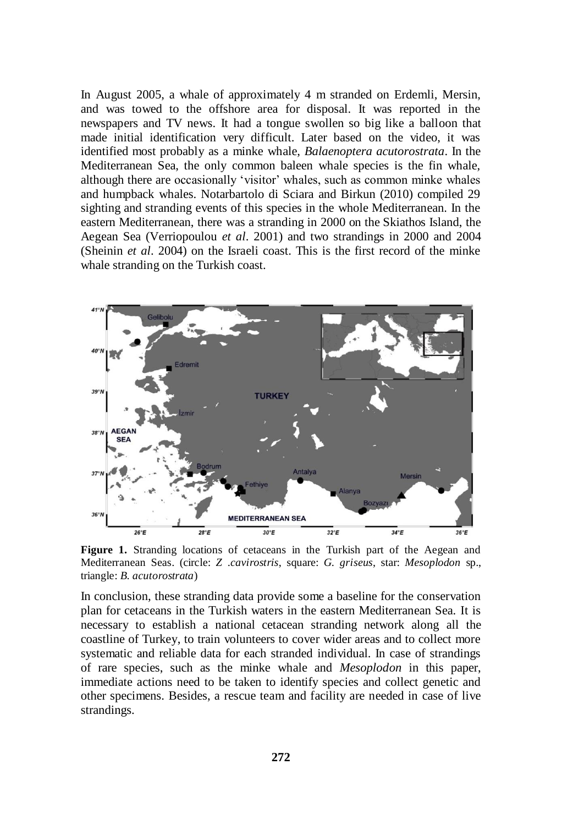In August 2005, a whale of approximately 4 m stranded on Erdemli, Mersin, and was towed to the offshore area for disposal. It was reported in the newspapers and TV news. It had a tongue swollen so big like a balloon that made initial identification very difficult. Later based on the video, it was identified most probably as a minke whale, *Balaenoptera acutorostrata*. In the Mediterranean Sea, the only common baleen whale species is the fin whale, although there are occasionally "visitor" whales, such as common minke whales and humpback whales. Notarbartolo di Sciara and Birkun (2010) compiled 29 sighting and stranding events of this species in the whole Mediterranean. In the eastern Mediterranean, there was a stranding in 2000 on the Skiathos Island, the Aegean Sea (Verriopoulou *et al*. 2001) and two strandings in 2000 and 2004 (Sheinin *et al*. 2004) on the Israeli coast. This is the first record of the minke whale stranding on the Turkish coast.



**Figure 1.** Stranding locations of cetaceans in the Turkish part of the Aegean and Mediterranean Seas. (circle: *Z .cavirostris*, square: *G. griseus*, star: *Mesoplodon* sp., triangle: *B. acutorostrata*)

In conclusion, these stranding data provide some a baseline for the conservation plan for cetaceans in the Turkish waters in the eastern Mediterranean Sea. It is necessary to establish a national cetacean stranding network along all the coastline of Turkey, to train volunteers to cover wider areas and to collect more systematic and reliable data for each stranded individual. In case of strandings of rare species, such as the minke whale and *Mesoplodon* in this paper, immediate actions need to be taken to identify species and collect genetic and other specimens. Besides, a rescue team and facility are needed in case of live strandings.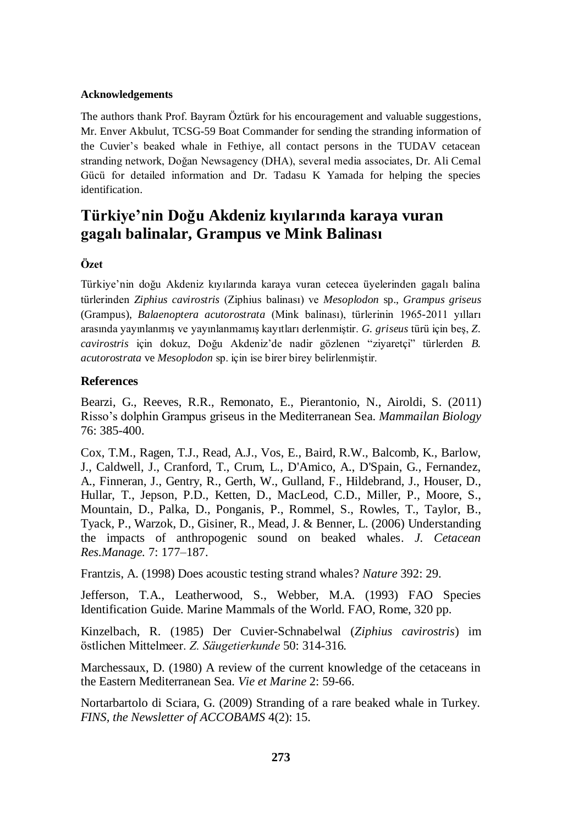#### **Acknowledgements**

The authors thank Prof. Bayram Öztürk for his encouragement and valuable suggestions, Mr. Enver Akbulut, TCSG-59 Boat Commander for sending the stranding information of the Cuvier"s beaked whale in Fethiye, all contact persons in the TUDAV cetacean stranding network, Doğan Newsagency (DHA), several media associates, Dr. Ali Cemal Gücü for detailed information and Dr. Tadasu K Yamada for helping the species identification.

# **Türkiye'nin Doğu Akdeniz kıyılarında karaya vuran gagalı balinalar, Grampus ve Mink Balinası**

## **Özet**

Türkiye"nin doğu Akdeniz kıyılarında karaya vuran cetecea üyelerinden gagalı balina türlerinden *Ziphius cavirostris* (Ziphius balinası) ve *Mesoplodon* sp., *Grampus griseus* (Grampus), *Balaenoptera acutorostrata* (Mink balinası), türlerinin 1965-2011 yılları arasında yayınlanmış ve yayınlanmamış kayıtları derlenmiştir. *G. griseus* türü için beş, *Z. cavirostris* için dokuz, Doğu Akdeniz"de nadir gözlenen "ziyaretçi" türlerden *B. acutorostrata* ve *Mesoplodon* sp. için ise birer birey belirlenmiştir.

## **References**

Bearzi, G., Reeves, R.R., Remonato, E., Pierantonio, N., Airoldi, S. (2011) Risso"s dolphin Grampus griseus in the Mediterranean Sea. *Mammailan Biology* 76: 385-400.

Cox, T.M., Ragen, T.J., Read, A.J., Vos, E., Baird, R.W., Balcomb, K., Barlow, J., Caldwell, J., Cranford, T., Crum, L., D'Amico, A., D'Spain, G., Fernandez, A., Finneran, J., Gentry, R., Gerth, W., Gulland, F., Hildebrand, J., Houser, D., Hullar, T., Jepson, P.D., Ketten, D., MacLeod, C.D., Miller, P., Moore, S., Mountain, D., Palka, D., Ponganis, P., Rommel, S., Rowles, T., Taylor, B., Tyack, P., Warzok, D., Gisiner, R., Mead, J. & Benner, L. (2006) Understanding the impacts of anthropogenic sound on beaked whales. *J. Cetacean Res.Manage.* 7: 177–187.

Frantzis, A. (1998) Does acoustic testing strand whales? *Nature* 392: 29.

Jefferson, T.A., Leatherwood, S., Webber, M.A. (1993) FAO Species Identification Guide. Marine Mammals of the World. FAO, Rome, 320 pp.

Kinzelbach, R. (1985) Der Cuvier-Schnabelwal (*Ziphius cavirostris*) im östlichen Mittelmeer. *Z. Säugetierkunde* 50: 314-316.

Marchessaux, D. (1980) A review of the current knowledge of the cetaceans in the Eastern Mediterranean Sea. *Vie et Marine* 2: 59-66.

Nortarbartolo di Sciara, G. (2009) Stranding of a rare beaked whale in Turkey. *FINS, the Newsletter of ACCOBAMS* 4(2): 15.